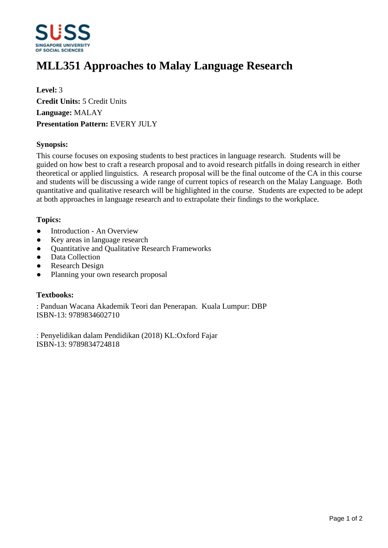

# **MLL351 Approaches to Malay Language Research**

**Level:** 3 **Credit Units:** 5 Credit Units **Language:** MALAY **Presentation Pattern:** EVERY JULY

## **Synopsis:**

This course focuses on exposing students to best practices in language research. Students will be guided on how best to craft a research proposal and to avoid research pitfalls in doing research in either theoretical or applied linguistics. A research proposal will be the final outcome of the CA in this course and students will be discussing a wide range of current topics of research on the Malay Language. Both quantitative and qualitative research will be highlighted in the course. Students are expected to be adept at both approaches in language research and to extrapolate their findings to the workplace.

## **Topics:**

- Introduction An Overview
- Key areas in language research
- Ouantitative and Qualitative Research Frameworks
- Data Collection
- Research Design
- Planning your own research proposal

#### **Textbooks:**

: Panduan Wacana Akademik Teori dan Penerapan. Kuala Lumpur: DBP ISBN-13: 9789834602710

: Penyelidikan dalam Pendidikan (2018) KL:Oxford Fajar ISBN-13: 9789834724818